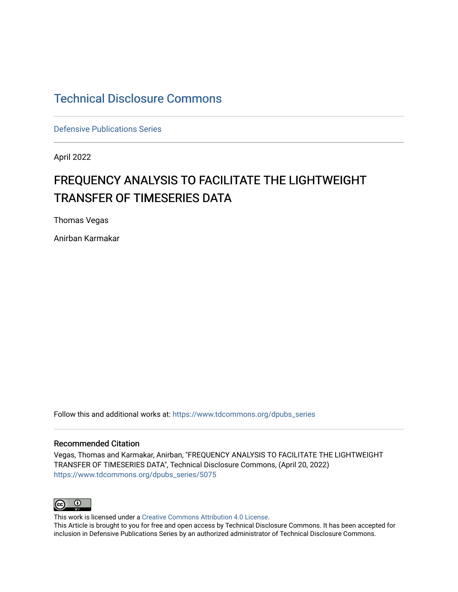## [Technical Disclosure Commons](https://www.tdcommons.org/)

[Defensive Publications Series](https://www.tdcommons.org/dpubs_series)

April 2022

# FREQUENCY ANALYSIS TO FACILITATE THE LIGHTWEIGHT TRANSFER OF TIMESERIES DATA

Thomas Vegas

Anirban Karmakar

Follow this and additional works at: [https://www.tdcommons.org/dpubs\\_series](https://www.tdcommons.org/dpubs_series?utm_source=www.tdcommons.org%2Fdpubs_series%2F5075&utm_medium=PDF&utm_campaign=PDFCoverPages) 

#### Recommended Citation

Vegas, Thomas and Karmakar, Anirban, "FREQUENCY ANALYSIS TO FACILITATE THE LIGHTWEIGHT TRANSFER OF TIMESERIES DATA", Technical Disclosure Commons, (April 20, 2022) [https://www.tdcommons.org/dpubs\\_series/5075](https://www.tdcommons.org/dpubs_series/5075?utm_source=www.tdcommons.org%2Fdpubs_series%2F5075&utm_medium=PDF&utm_campaign=PDFCoverPages)



This work is licensed under a [Creative Commons Attribution 4.0 License](http://creativecommons.org/licenses/by/4.0/deed.en_US).

This Article is brought to you for free and open access by Technical Disclosure Commons. It has been accepted for inclusion in Defensive Publications Series by an authorized administrator of Technical Disclosure Commons.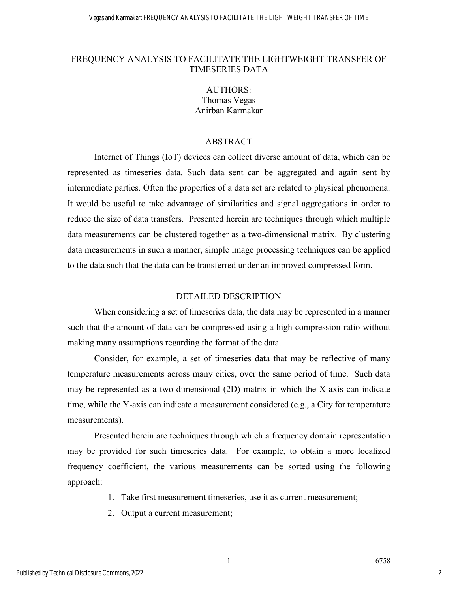#### FREQUENCY ANALYSIS TO FACILITATE THE LIGHTWEIGHT TRANSFER OF TIMESERIES DATA

### AUTHORS: Thomas Vegas Anirban Karmakar

#### ABSTRACT

Internet of Things (IoT) devices can collect diverse amount of data, which can be represented as timeseries data. Such data sent can be aggregated and again sent by intermediate parties. Often the properties of a data set are related to physical phenomena. It would be useful to take advantage of similarities and signal aggregations in order to reduce the size of data transfers. Presented herein are techniques through which multiple data measurements can be clustered together as a two-dimensional matrix. By clustering data measurements in such a manner, simple image processing techniques can be applied to the data such that the data can be transferred under an improved compressed form.

#### DETAILED DESCRIPTION

When considering a set of timeseries data, the data may be represented in a manner such that the amount of data can be compressed using a high compression ratio without making many assumptions regarding the format of the data.

Consider, for example, a set of timeseries data that may be reflective of many temperature measurements across many cities, over the same period of time. Such data may be represented as a two-dimensional (2D) matrix in which the X-axis can indicate time, while the Y-axis can indicate a measurement considered (e.g., a City for temperature measurements).

Presented herein are techniques through which a frequency domain representation may be provided for such timeseries data. For example, to obtain a more localized frequency coefficient, the various measurements can be sorted using the following approach:

- 1. Take first measurement timeseries, use it as current measurement;
- 2. Output a current measurement;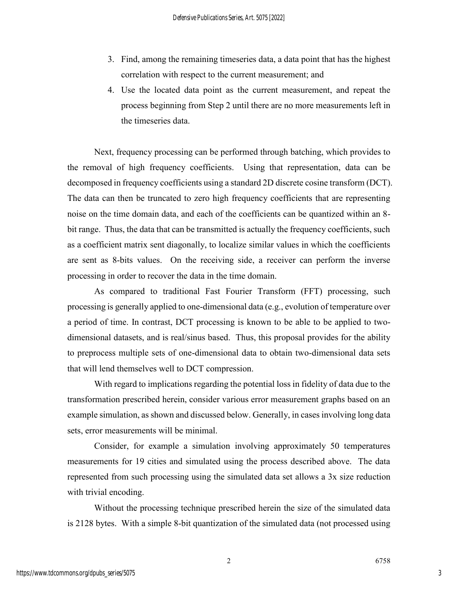- 3. Find, among the remaining timeseries data, a data point that has the highest correlation with respect to the current measurement; and
- 4. Use the located data point as the current measurement, and repeat the process beginning from Step 2 until there are no more measurements left in the timeseries data.

Next, frequency processing can be performed through batching, which provides to the removal of high frequency coefficients. Using that representation, data can be decomposed in frequency coefficients using a standard 2D discrete cosine transform (DCT). The data can then be truncated to zero high frequency coefficients that are representing noise on the time domain data, and each of the coefficients can be quantized within an 8 bit range. Thus, the data that can be transmitted is actually the frequency coefficients, such as a coefficient matrix sent diagonally, to localize similar values in which the coefficients are sent as 8-bits values. On the receiving side, a receiver can perform the inverse processing in order to recover the data in the time domain.

As compared to traditional Fast Fourier Transform (FFT) processing, such processing is generally applied to one-dimensional data (e.g., evolution of temperature over a period of time. In contrast, DCT processing is known to be able to be applied to twodimensional datasets, and is real/sinus based. Thus, this proposal provides for the ability to preprocess multiple sets of one-dimensional data to obtain two-dimensional data sets that will lend themselves well to DCT compression.

With regard to implications regarding the potential loss in fidelity of data due to the transformation prescribed herein, consider various error measurement graphs based on an example simulation, as shown and discussed below. Generally, in cases involving long data sets, error measurements will be minimal.

Consider, for example a simulation involving approximately 50 temperatures measurements for 19 cities and simulated using the process described above. The data represented from such processing using the simulated data set allows a 3x size reduction with trivial encoding.

Without the processing technique prescribed herein the size of the simulated data is 2128 bytes. With a simple 8-bit quantization of the simulated data (not processed using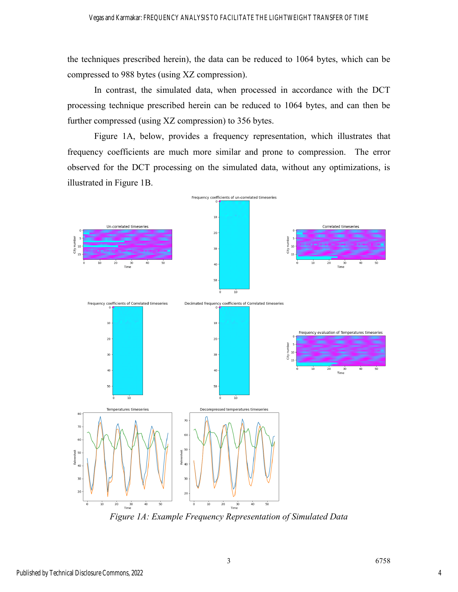the techniques prescribed herein), the data can be reduced to 1064 bytes, which can be compressed to 988 bytes (using XZ compression).

In contrast, the simulated data, when processed in accordance with the DCT processing technique prescribed herein can be reduced to 1064 bytes, and can then be further compressed (using XZ compression) to 356 bytes.

Figure 1A, below, provides a frequency representation, which illustrates that frequency coefficients are much more similar and prone to compression. The error observed for the DCT processing on the simulated data, without any optimizations, is illustrated in Figure 1B.



*Figure 1A: Example Frequency Representation of Simulated Data*